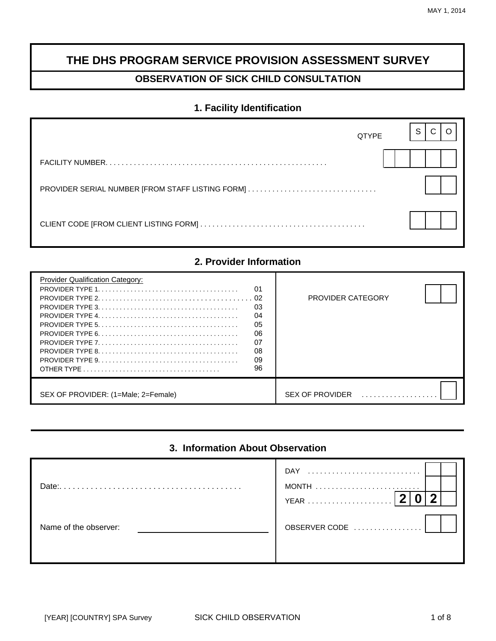# **THE DHS PROGRAM SERVICE PROVISION ASSESSMENT SURVEY**

# **OBSERVATION OF SICK CHILD CONSULTATION**

# **1. Facility Identification**

| <b>QTYPE</b> | S |
|--------------|---|
|              |   |
|              |   |
|              |   |

# **2. Provider Information**

| <b>Provider Qualification Category:</b><br>01<br>02<br>03<br>04<br>05<br>06<br>07<br>08<br>09<br>96 | <b>PROVIDER CATEGORY</b> |
|-----------------------------------------------------------------------------------------------------|--------------------------|
| SEX OF PROVIDER: (1=Male; 2=Female)                                                                 | <b>SEX OF PROVIDER</b>   |

# **3. Information About Observation**

| Date:                 | $DAY$<br>YEAR |  |
|-----------------------|---------------|--|
| Name of the observer: | OBSERVER CODE |  |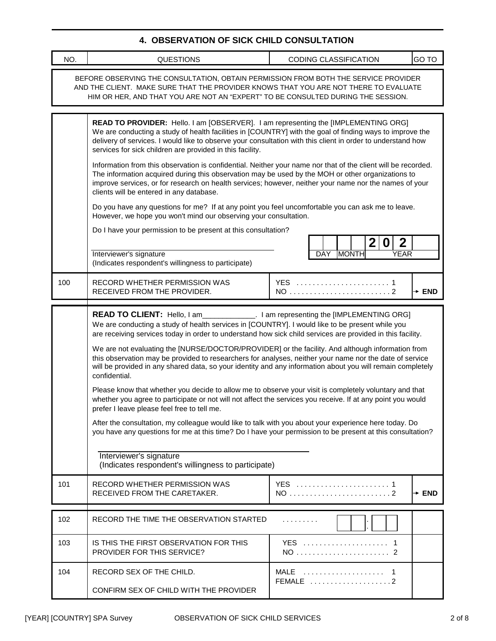### **4. OBSERVATION OF SICK CHILD CONSULTATION**

| NO. | <b>QUESTIONS</b>                                                                                                                                                                                                                                                                                                                                                                                                                                                                                                                                                                                                                                                                                                                                                                                                                                                                                                                                                                                                                                                                                                                                                                                                                   | GO TO<br>CODING CLASSIFICATION                                                              |  |  |
|-----|------------------------------------------------------------------------------------------------------------------------------------------------------------------------------------------------------------------------------------------------------------------------------------------------------------------------------------------------------------------------------------------------------------------------------------------------------------------------------------------------------------------------------------------------------------------------------------------------------------------------------------------------------------------------------------------------------------------------------------------------------------------------------------------------------------------------------------------------------------------------------------------------------------------------------------------------------------------------------------------------------------------------------------------------------------------------------------------------------------------------------------------------------------------------------------------------------------------------------------|---------------------------------------------------------------------------------------------|--|--|
|     | BEFORE OBSERVING THE CONSULTATION, OBTAIN PERMISSION FROM BOTH THE SERVICE PROVIDER<br>AND THE CLIENT. MAKE SURE THAT THE PROVIDER KNOWS THAT YOU ARE NOT THERE TO EVALUATE<br>HIM OR HER, AND THAT YOU ARE NOT AN "EXPERT" TO BE CONSULTED DURING THE SESSION.                                                                                                                                                                                                                                                                                                                                                                                                                                                                                                                                                                                                                                                                                                                                                                                                                                                                                                                                                                    |                                                                                             |  |  |
|     | READ TO PROVIDER: Hello. I am [OBSERVER]. I am representing the [IMPLEMENTING ORG]<br>We are conducting a study of health facilities in [COUNTRY] with the goal of finding ways to improve the<br>delivery of services. I would like to observe your consultation with this client in order to understand how<br>services for sick children are provided in this facility.<br>Information from this observation is confidential. Neither your name nor that of the client will be recorded.<br>The information acquired during this observation may be used by the MOH or other organizations to<br>improve services, or for research on health services; however, neither your name nor the names of your<br>clients will be entered in any database.<br>Do you have any questions for me? If at any point you feel uncomfortable you can ask me to leave.<br>However, we hope you won't mind our observing your consultation.<br>Do I have your permission to be present at this consultation?<br>Interviewer's signature<br>(Indicates respondent's willingness to participate)                                                                                                                                                 | 2 <sub>1</sub><br>$\boldsymbol{2}$<br>$\bf{0}$<br><b>MONTH</b><br><b>YEAR</b><br><b>DAY</b> |  |  |
| 100 | RECORD WHETHER PERMISSION WAS<br>RECEIVED FROM THE PROVIDER.                                                                                                                                                                                                                                                                                                                                                                                                                                                                                                                                                                                                                                                                                                                                                                                                                                                                                                                                                                                                                                                                                                                                                                       | YES  1<br>$+$ END                                                                           |  |  |
|     | READ TO CLIENT: Hello, I am______________. I am representing the [IMPLEMENTING ORG]<br>We are conducting a study of health services in [COUNTRY]. I would like to be present while you<br>are receiving services today in order to understand how sick child services are provided in this facility.<br>We are not evaluating the [NURSE/DOCTOR/PROVIDER] or the facility. And although information from<br>this observation may be provided to researchers for analyses, neither your name nor the date of service<br>will be provided in any shared data, so your identity and any information about you will remain completely<br>confidential.<br>Please know that whether you decide to allow me to observe your visit is completely voluntary and that<br>whether you agree to participate or not will not affect the services you receive. If at any point you would<br>prefer I leave please feel free to tell me.<br>After the consultation, my colleague would like to talk with you about your experience here today. Do<br>you have any questions for me at this time? Do I have your permission to be present at this consultation?<br>Interviewer's signature<br>(Indicates respondent's willingness to participate) |                                                                                             |  |  |
| 101 | RECORD WHETHER PERMISSION WAS<br>RECEIVED FROM THE CARETAKER.                                                                                                                                                                                                                                                                                                                                                                                                                                                                                                                                                                                                                                                                                                                                                                                                                                                                                                                                                                                                                                                                                                                                                                      | YES  1<br>NO 2<br>$+$ END                                                                   |  |  |
| 102 | RECORD THE TIME THE OBSERVATION STARTED                                                                                                                                                                                                                                                                                                                                                                                                                                                                                                                                                                                                                                                                                                                                                                                                                                                                                                                                                                                                                                                                                                                                                                                            | .                                                                                           |  |  |
| 103 | IS THIS THE FIRST OBSERVATION FOR THIS<br>PROVIDER FOR THIS SERVICE?                                                                                                                                                                                                                                                                                                                                                                                                                                                                                                                                                                                                                                                                                                                                                                                                                                                                                                                                                                                                                                                                                                                                                               | YES  1<br>NO  2                                                                             |  |  |
| 104 | RECORD SEX OF THE CHILD.<br>CONFIRM SEX OF CHILD WITH THE PROVIDER                                                                                                                                                                                                                                                                                                                                                                                                                                                                                                                                                                                                                                                                                                                                                                                                                                                                                                                                                                                                                                                                                                                                                                 | MALE  1<br>FEMALE 2                                                                         |  |  |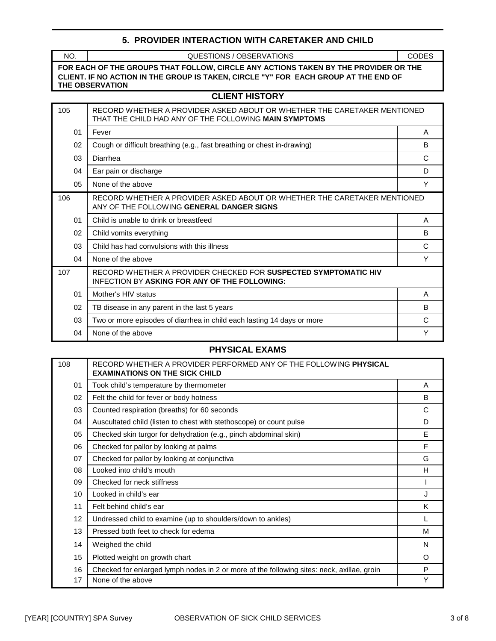#### **5. PROVIDER INTERACTION WITH CARETAKER AND CHILD**

| NO.                                                                                                                                                                                                  | QUESTIONS / OBSERVATIONS                                                                                                          | <b>CODES</b> |  |  |  |
|------------------------------------------------------------------------------------------------------------------------------------------------------------------------------------------------------|-----------------------------------------------------------------------------------------------------------------------------------|--------------|--|--|--|
| FOR EACH OF THE GROUPS THAT FOLLOW, CIRCLE ANY ACTIONS TAKEN BY THE PROVIDER OR THE<br>CLIENT. IF NO ACTION IN THE GROUP IS TAKEN, CIRCLE "Y" FOR EACH GROUP AT THE END OF<br><b>THE OBSERVATION</b> |                                                                                                                                   |              |  |  |  |
|                                                                                                                                                                                                      | <b>CLIENT HISTORY</b>                                                                                                             |              |  |  |  |
| 105                                                                                                                                                                                                  | RECORD WHETHER A PROVIDER ASKED ABOUT OR WHETHER THE CARETAKER MENTIONED<br>THAT THE CHILD HAD ANY OF THE FOLLOWING MAIN SYMPTOMS |              |  |  |  |
| 01                                                                                                                                                                                                   | Fever                                                                                                                             | A            |  |  |  |
| 02                                                                                                                                                                                                   | Cough or difficult breathing (e.g., fast breathing or chest in-drawing)                                                           | B            |  |  |  |
| 03                                                                                                                                                                                                   | Diarrhea                                                                                                                          | C            |  |  |  |
| 04                                                                                                                                                                                                   | Ear pain or discharge                                                                                                             | D            |  |  |  |
| 05                                                                                                                                                                                                   | None of the above                                                                                                                 | Y            |  |  |  |
| 106                                                                                                                                                                                                  | RECORD WHETHER A PROVIDER ASKED ABOUT OR WHETHER THE CARETAKER MENTIONED<br>ANY OF THE FOLLOWING GENERAL DANGER SIGNS             |              |  |  |  |
| 01                                                                                                                                                                                                   | Child is unable to drink or breastfeed                                                                                            | A            |  |  |  |
| 02                                                                                                                                                                                                   | Child vomits everything                                                                                                           | B            |  |  |  |
| 03                                                                                                                                                                                                   | Child has had convulsions with this illness                                                                                       | C            |  |  |  |
| 04                                                                                                                                                                                                   | None of the above                                                                                                                 | Y            |  |  |  |
| 107                                                                                                                                                                                                  | RECORD WHETHER A PROVIDER CHECKED FOR SUSPECTED SYMPTOMATIC HIV<br><b>INFECTION BY ASKING FOR ANY OF THE FOLLOWING:</b>           |              |  |  |  |
| 01                                                                                                                                                                                                   | Mother's HIV status                                                                                                               | A            |  |  |  |
| 02                                                                                                                                                                                                   | TB disease in any parent in the last 5 years                                                                                      | B            |  |  |  |
| 03                                                                                                                                                                                                   | Two or more episodes of diarrhea in child each lasting 14 days or more                                                            | C            |  |  |  |
| 04                                                                                                                                                                                                   | None of the above                                                                                                                 | Υ            |  |  |  |

# **PHYSICAL EXAMS**

| 108             | RECORD WHETHER A PROVIDER PERFORMED ANY OF THE FOLLOWING PHYSICAL<br><b>EXAMINATIONS ON THE SICK CHILD</b> |   |
|-----------------|------------------------------------------------------------------------------------------------------------|---|
| 01              | Took child's temperature by thermometer                                                                    | A |
| 02              | Felt the child for fever or body hotness                                                                   | B |
| 03              | Counted respiration (breaths) for 60 seconds                                                               | C |
| 04              | Auscultated child (listen to chest with stethoscope) or count pulse                                        | D |
| 05              | Checked skin turgor for dehydration (e.g., pinch abdominal skin)                                           | E |
| 06              | Checked for pallor by looking at palms                                                                     | F |
| 07              | Checked for pallor by looking at conjunctiva                                                               | G |
| 08              | Looked into child's mouth                                                                                  | H |
| 09              | Checked for neck stiffness                                                                                 |   |
| 10              | Looked in child's ear                                                                                      | J |
| 11              | Felt behind child's ear                                                                                    | Κ |
| 12 <sup>2</sup> | Undressed child to examine (up to shoulders/down to ankles)                                                | L |
| 13              | Pressed both feet to check for edema                                                                       | M |
| 14              | Weighed the child                                                                                          | N |
| 15              | Plotted weight on growth chart                                                                             | O |
| 16              | Checked for enlarged lymph nodes in 2 or more of the following sites: neck, axillae, groin                 | P |
| 17              | None of the above                                                                                          | Y |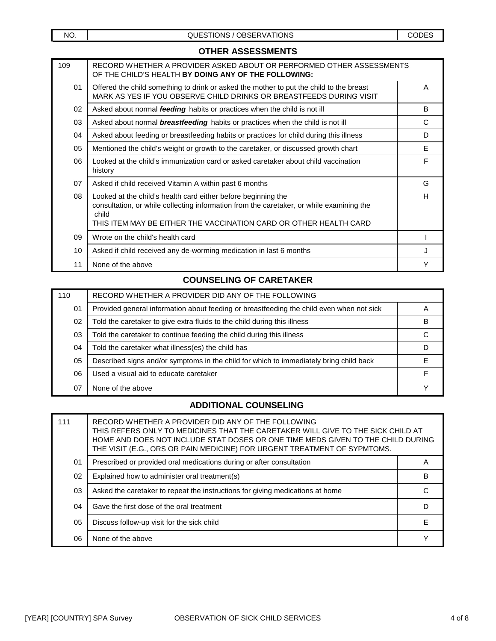| o IIIEI\ Aoocoomen Ig |                                                                                                                                                                                                                                         |   |
|-----------------------|-----------------------------------------------------------------------------------------------------------------------------------------------------------------------------------------------------------------------------------------|---|
| 109                   | RECORD WHETHER A PROVIDER ASKED ABOUT OR PERFORMED OTHER ASSESSMENTS<br>OF THE CHILD'S HEALTH BY DOING ANY OF THE FOLLOWING:                                                                                                            |   |
| 01                    | Offered the child something to drink or asked the mother to put the child to the breast<br>MARK AS YES IF YOU OBSERVE CHILD DRINKS OR BREASTFEEDS DURING VISIT                                                                          | A |
| 02                    | Asked about normal feeding habits or practices when the child is not ill                                                                                                                                                                | B |
| 03                    | Asked about normal <b>breastfeeding</b> habits or practices when the child is not ill                                                                                                                                                   | C |
| 04                    | Asked about feeding or breastfeeding habits or practices for child during this illness                                                                                                                                                  | D |
| 05                    | Mentioned the child's weight or growth to the caretaker, or discussed growth chart                                                                                                                                                      | E |
| 06                    | Looked at the child's immunization card or asked caretaker about child vaccination<br>history                                                                                                                                           | F |
| 07                    | Asked if child received Vitamin A within past 6 months                                                                                                                                                                                  | G |
| 08                    | Looked at the child's health card either before beginning the<br>consultation, or while collecting information from the caretaker, or while examining the<br>child<br>THIS ITEM MAY BE EITHER THE VACCINATION CARD OR OTHER HEALTH CARD | Н |
| 09                    | Wrote on the child's health card                                                                                                                                                                                                        |   |
| 10                    | Asked if child received any de-worming medication in last 6 months                                                                                                                                                                      | J |
| 11                    | None of the above                                                                                                                                                                                                                       | Y |

#### **COUNSELING OF CARETAKER**

| 110 | RECORD WHETHER A PROVIDER DID ANY OF THE FOLLOWING                                       |   |
|-----|------------------------------------------------------------------------------------------|---|
| 01  | Provided general information about feeding or breastfeeding the child even when not sick |   |
| 02  | Told the caretaker to give extra fluids to the child during this illness                 | в |
| 03  | Told the caretaker to continue feeding the child during this illness                     |   |
| 04  | Told the caretaker what illness(es) the child has                                        |   |
| 05  | Described signs and/or symptoms in the child for which to immediately bring child back   |   |
| 06  | Used a visual aid to educate caretaker                                                   |   |
| 07  | None of the above                                                                        |   |

# **ADDITIONAL COUNSELING**

| 111 | RECORD WHETHER A PROVIDER DID ANY OF THE FOLLOWING<br>THIS REFERS ONLY TO MEDICINES THAT THE CARETAKER WILL GIVE TO THE SICK CHILD AT<br>HOME AND DOES NOT INCLUDE STAT DOSES OR ONE TIME MEDS GIVEN TO THE CHILD DURING<br>THE VISIT (E.G., ORS OR PAIN MEDICINE) FOR URGENT TREATMENT OF SYPMTOMS. |   |
|-----|------------------------------------------------------------------------------------------------------------------------------------------------------------------------------------------------------------------------------------------------------------------------------------------------------|---|
| 01  | Prescribed or provided oral medications during or after consultation                                                                                                                                                                                                                                 | A |
| 02  | Explained how to administer oral treatment(s)                                                                                                                                                                                                                                                        | в |
| 03  | Asked the caretaker to repeat the instructions for giving medications at home                                                                                                                                                                                                                        |   |
| 04  | Gave the first dose of the oral treatment                                                                                                                                                                                                                                                            |   |
| 05  | Discuss follow-up visit for the sick child                                                                                                                                                                                                                                                           | F |
| 06  | None of the above                                                                                                                                                                                                                                                                                    |   |

## **OTHER ASSESSMENTS**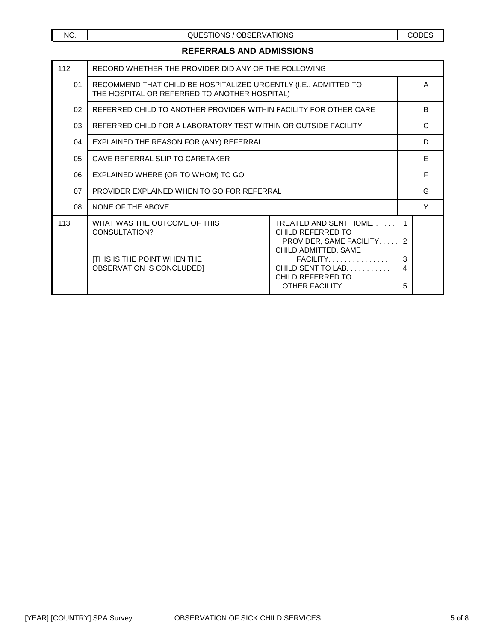# **REFERRALS AND ADMISSIONS**

| 112             | RECORD WHETHER THE PROVIDER DID ANY OF THE FOLLOWING                                                              |                                                                                                                                                                          |                  |    |
|-----------------|-------------------------------------------------------------------------------------------------------------------|--------------------------------------------------------------------------------------------------------------------------------------------------------------------------|------------------|----|
| 01              | RECOMMEND THAT CHILD BE HOSPITALIZED URGENTLY (I.E., ADMITTED TO<br>THE HOSPITAL OR REFERRED TO ANOTHER HOSPITAL) |                                                                                                                                                                          |                  | A  |
| 02 <sub>o</sub> | REFERRED CHILD TO ANOTHER PROVIDER WITHIN FACILITY FOR OTHER CARE                                                 |                                                                                                                                                                          |                  | B. |
| 03              | REFERRED CHILD FOR A LABORATORY TEST WITHIN OR OUTSIDE FACILITY                                                   |                                                                                                                                                                          |                  | C  |
| 04              | EXPLAINED THE REASON FOR (ANY) REFERRAL                                                                           |                                                                                                                                                                          | D                |    |
| 0 <sub>5</sub>  | <b>GAVE REFERRAL SLIP TO CARETAKER</b>                                                                            |                                                                                                                                                                          |                  | E  |
| 06              | EXPLAINED WHERE (OR TO WHOM) TO GO                                                                                |                                                                                                                                                                          | F                |    |
| 07              | PROVIDER EXPLAINED WHEN TO GO FOR REFERRAL                                                                        |                                                                                                                                                                          |                  | G  |
| 08              | NONE OF THE ABOVE                                                                                                 |                                                                                                                                                                          |                  | Y  |
| 113             | WHAT WAS THE OUTCOME OF THIS<br>CONSULTATION?<br><b>[THIS IS THE POINT WHEN THE</b><br>OBSERVATION IS CONCLUDED]  | TREATED AND SENT HOME<br>CHILD REFERRED TO<br>PROVIDER, SAME FACILITY 2<br>CHILD ADMITTED, SAME<br>FACILITY<br>CHILD SENT TO LAB.<br>CHILD REFERRED TO<br>OTHER FACILITY | 1<br>3<br>4<br>5 |    |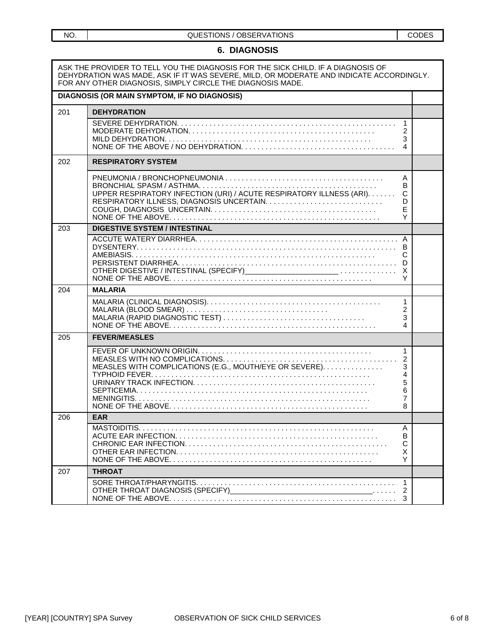#### **6. DIAGNOSIS**

|     | ASK THE PROVIDER TO TELL YOU THE DIAGNOSIS FOR THE SICK CHILD. IF A DIAGNOSIS OF<br>DEHYDRATION WAS MADE, ASK IF IT WAS SEVERE, MILD, OR MODERATE AND INDICATE ACCORDINGLY.<br>FOR ANY OTHER DIAGNOSIS, SIMPLY CIRCLE THE DIAGNOSIS MADE. |                                                   |  |
|-----|-------------------------------------------------------------------------------------------------------------------------------------------------------------------------------------------------------------------------------------------|---------------------------------------------------|--|
|     | DIAGNOSIS (OR MAIN SYMPTOM, IF NO DIAGNOSIS)                                                                                                                                                                                              |                                                   |  |
| 201 | <b>DEHYDRATION</b>                                                                                                                                                                                                                        |                                                   |  |
|     |                                                                                                                                                                                                                                           | 1<br>2<br>3<br>4                                  |  |
| 202 | <b>RESPIRATORY SYSTEM</b>                                                                                                                                                                                                                 |                                                   |  |
|     | UPPER RESPIRATORY INFECTION (URI) / ACUTE RESPIRATORY ILLNESS (ARI).                                                                                                                                                                      | A<br>в<br>C<br>D<br>E<br>Y                        |  |
| 203 | <b>DIGESTIVE SYSTEM / INTESTINAL</b>                                                                                                                                                                                                      |                                                   |  |
|     |                                                                                                                                                                                                                                           | A<br>C<br>D<br>X<br>Υ                             |  |
| 204 | <b>MALARIA</b>                                                                                                                                                                                                                            |                                                   |  |
|     |                                                                                                                                                                                                                                           | $\mathbf{1}$<br>2<br>3<br>4                       |  |
| 205 | <b>FEVER/MEASLES</b>                                                                                                                                                                                                                      |                                                   |  |
|     | MEASLES WITH COMPLICATIONS (E.G., MOUTH/EYE OR SEVERE).                                                                                                                                                                                   | 1<br>$\overline{2}$<br>3<br>4<br>5<br>6<br>7<br>8 |  |
| 206 | <b>EAR</b>                                                                                                                                                                                                                                |                                                   |  |
|     |                                                                                                                                                                                                                                           | Α<br>В<br>С<br>х<br>Y                             |  |
| 207 | <b>THROAT</b>                                                                                                                                                                                                                             |                                                   |  |
|     | OTHER THROAT DIAGNOSIS (SPECIFY)                                                                                                                                                                                                          | 3                                                 |  |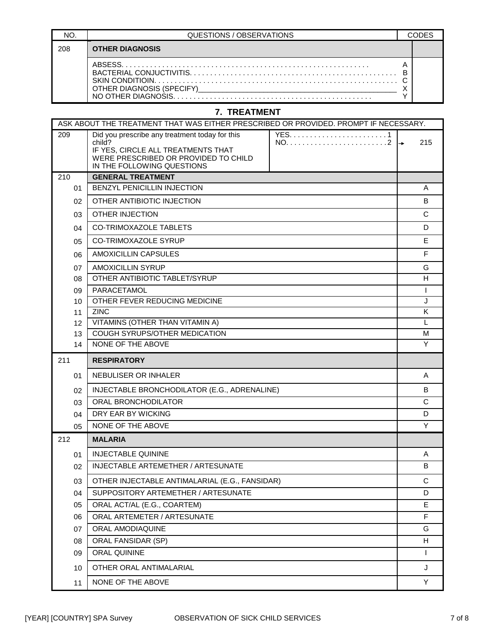|     | QUESTIONS / OBSERVATIONS |  |
|-----|--------------------------|--|
| 208 | <b>OTHER DIAGNOSIS</b>   |  |
|     | ARSESS                   |  |

## **7. TREATMENT**

| Did you prescribe any treatment today for this<br>209                                                              | ASK ABOUT THE TREATMENT THAT WAS EITHER PRESCRIBED OR PROVIDED. PROMPT IF NECESSARY. |  |  |  |  |  |
|--------------------------------------------------------------------------------------------------------------------|--------------------------------------------------------------------------------------|--|--|--|--|--|
| child?<br>IF YES, CIRCLE ALL TREATMENTS THAT<br>WERE PRESCRIBED OR PROVIDED TO CHILD<br>IN THE FOLLOWING QUESTIONS | 215<br>l →                                                                           |  |  |  |  |  |
| <b>GENERAL TREATMENT</b><br>210                                                                                    |                                                                                      |  |  |  |  |  |
| BENZYL PENICILLIN INJECTION<br>01                                                                                  | A                                                                                    |  |  |  |  |  |
| OTHER ANTIBIOTIC INJECTION<br>02                                                                                   | B                                                                                    |  |  |  |  |  |
| <b>OTHER INJECTION</b><br>03                                                                                       | C                                                                                    |  |  |  |  |  |
| CO-TRIMOXAZOLE TABLETS<br>04                                                                                       | D                                                                                    |  |  |  |  |  |
| <b>CO-TRIMOXAZOLE SYRUP</b><br>05                                                                                  | E                                                                                    |  |  |  |  |  |
| AMOXICILLIN CAPSULES<br>06                                                                                         | F                                                                                    |  |  |  |  |  |
| <b>AMOXICILLIN SYRUP</b><br>07                                                                                     | G                                                                                    |  |  |  |  |  |
| OTHER ANTIBIOTIC TABLET/SYRUP<br>08                                                                                | H                                                                                    |  |  |  |  |  |
| PARACETAMOL<br>09                                                                                                  | T.                                                                                   |  |  |  |  |  |
| OTHER FEVER REDUCING MEDICINE<br>10                                                                                | J                                                                                    |  |  |  |  |  |
| <b>ZINC</b><br>11                                                                                                  | Κ                                                                                    |  |  |  |  |  |
| VITAMINS (OTHER THAN VITAMIN A)<br>12                                                                              | L                                                                                    |  |  |  |  |  |
| COUGH SYRUPS/OTHER MEDICATION<br>13                                                                                | M                                                                                    |  |  |  |  |  |
| NONE OF THE ABOVE<br>14                                                                                            | Y                                                                                    |  |  |  |  |  |
| 211<br><b>RESPIRATORY</b>                                                                                          |                                                                                      |  |  |  |  |  |
| NEBULISER OR INHALER<br>01                                                                                         | A                                                                                    |  |  |  |  |  |
| INJECTABLE BRONCHODILATOR (E.G., ADRENALINE)<br>02                                                                 | B                                                                                    |  |  |  |  |  |
| ORAL BRONCHODILATOR<br>03                                                                                          | C                                                                                    |  |  |  |  |  |
| DRY EAR BY WICKING<br>04                                                                                           | D                                                                                    |  |  |  |  |  |
| NONE OF THE ABOVE<br>05                                                                                            | Y                                                                                    |  |  |  |  |  |
| 212<br><b>MALARIA</b>                                                                                              |                                                                                      |  |  |  |  |  |
| <b>INJECTABLE QUININE</b><br>01                                                                                    | A                                                                                    |  |  |  |  |  |
| INJECTABLE ARTEMETHER / ARTESUNATE<br>02                                                                           | B                                                                                    |  |  |  |  |  |
| OTHER INJECTABLE ANTIMALARIAL (E.G., FANSIDAR)<br>03                                                               | $\mathsf C$                                                                          |  |  |  |  |  |
| SUPPOSITORY ARTEMETHER / ARTESUNATE<br>04                                                                          | D                                                                                    |  |  |  |  |  |
| ORAL ACT/AL (E.G., COARTEM)<br>05                                                                                  | E.                                                                                   |  |  |  |  |  |
| ORAL ARTEMETER / ARTESUNATE<br>06                                                                                  | F                                                                                    |  |  |  |  |  |
| ORAL AMODIAQUINE<br>07                                                                                             | G                                                                                    |  |  |  |  |  |
| ORAL FANSIDAR (SP)<br>08                                                                                           | н                                                                                    |  |  |  |  |  |
|                                                                                                                    | T.                                                                                   |  |  |  |  |  |
| ORAL QUININE<br>09                                                                                                 |                                                                                      |  |  |  |  |  |
| OTHER ORAL ANTIMALARIAL<br>10                                                                                      | J                                                                                    |  |  |  |  |  |